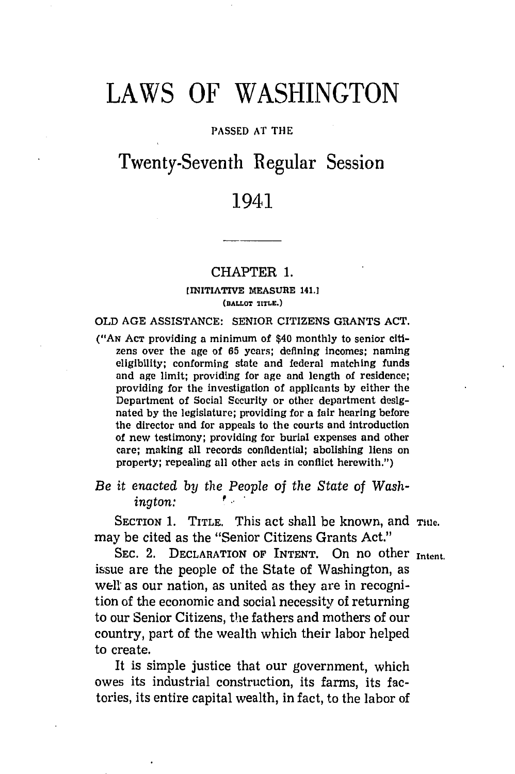# LAWS OF **WASHINGTON**

#### **PASSED AT** THE

## Twenty-Seventh Regular Session

### 1941

#### CHAPTER **1.**

#### **(INITIATIVE MEASURE 141.] (BALLOT TITLE.)**

#### OLD **AGE ASSISTANCE:** SENIOR CITIZENS **GRANTS ACT.**

**("AN ACT** providing a minimum of \$40 monthly to senior citizens over the age of **65** years; defining Incomes; naming eligibility; conforming state and federal matching funds and age limit; providing for age and length of residence; providing for the investigation of applicants **by** either the Department of Social Security or other department designated **by** the legislature; providing for a fair hearing before the director and for appeals to the courts and introduction of new testimony; providing for burial expenses and other care; making all records confidential; abolishing liens on property; repealing all other acts in conflict herewith.")

*Be it enacted by the People of the State of Wash-* $\boldsymbol{i}$ *naton:* 

SECTION 1. TITLE. This act shall be known, and Title. may be cited as the "Senior Citizens Grants Act."

**SEC.** 2. DECLARATION OF INTENT. On no other **Intent.** issue are the people of the State of Washington, as well as our nation, as united as they are in recognition of the economic and social necessity of returning to our Senior Citizens, the fathers and mothers of our country, part of the wealth which their labor helped to create.

It is simple justice that our government, which owes its industrial construction, its farms, its factories, its entire capital wealth, in fact, to the labor of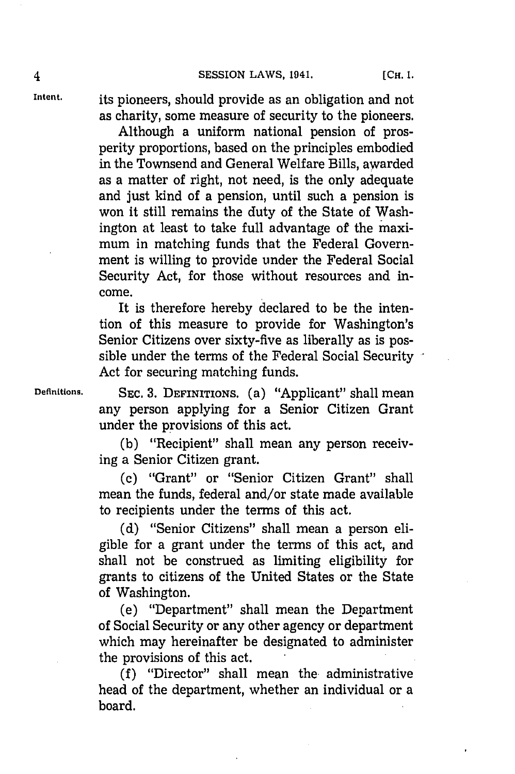4 **SESSION** LAWS, 1941. **[CH. 1.**

**Intent.** its pioneers, should provide as an obligation and not as charity, some measure of security to the pioneers.

> Although a uniform national pension of prosperity proportions, based on the principles embodied in the Townsend and General Welfare Bills, awarded as a matter of right, not need, is the only adequate and just kind of a pension, until such a pension is won it still remains the duty of the State of Washington at least to take full advantage of the maximum in matching funds that the Federal Government is willing to provide under the Federal Social Security Act, for those without resources and income.

It is therefore hereby declared to be the intention of this measure to provide for Washington's Senior Citizens over sixty-five as liberally as is possible under the terms of the Federal Social Security Act for securing matching funds.

**Definitions. SEc. 3. DEFINITIONS.** (a) "Applicant" shall mean any person applying for a Senior Citizen Grant under the provisions of this act.

> **(b)** "Recipient" shall mean any person receiving a Senior Citizen grant.

> (c) "Grant" or "Senior Citizen Grant" shall mean the funds, federal and/or state made available to recipients under the terms of this act.

> **(d)** "Senior Citizens" shall mean a person eligible for a grant under the terms of this act, and shall not be construed as limiting eligibility for grants to citizens of the United States or the State of Washington.

> (e) "Department" shall mean the Department of Social Security or any other agency or department which may hereinafter be designated to administer the provisions of this act.

> **Mf** "Director" shall mean the. administrative head of the department, whether an individual or a board.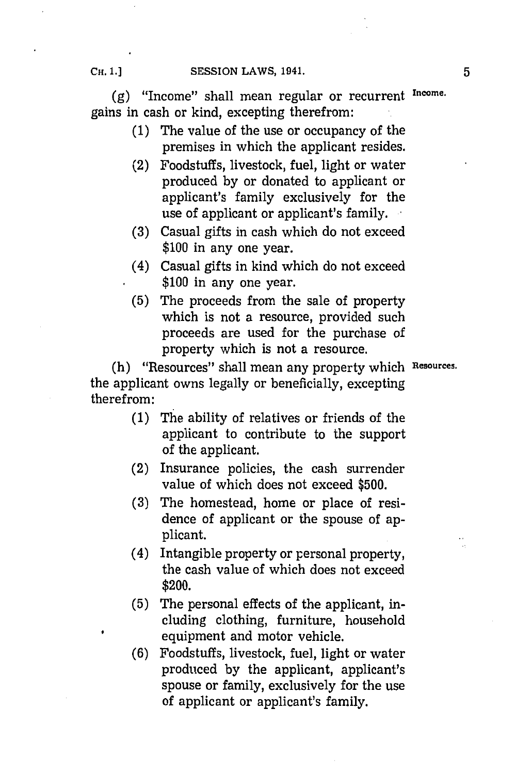(g) "Income" shall mean regular or recurrent Income. gains in cash or kind, excepting therefrom:

- **(1)** The value of the use or occupancy of the premises in which the applicant resides.
- (2) Foodstuffs, livestock, fuel, light or water produced **by** or donated to applicant or applicant's family exclusively for the use of applicant or applicant's family.
- **(3)** Casual gifts in cash which do not exceed **\$100** in any one year.
- (4) Casual gifts in kind which do not exceed **\$100** in any one year.
- **(5)** The proceeds from the sale of property which is not a resource, provided such proceeds are used for the purchase of property which is not a resource.

(h) "Resources" shall mean any property which Resources. the applicant owns legally or beneficially, excepting therefrom:

- **(1)** The ability of relatives or friends of the applicant to contribute to the support of the applicant.
- (2) Insurance policies, the cash surrender value of which does not exceed **\$500.**
- **(3)** The homestead, home or place of residence of applicant or the spouse of applicant.
- (4) Intangible property or personal property, the cash value of which does not exceed \$200.
- **(5)** The personal effects of the applicant, including clothing, furniture, household equipment and motor vehicle.
- **(6)** Foodstuffs, livestock, fuel, light or water produced **by** the applicant, applicant's spouse or family, exclusively for the use of applicant or applicant's family.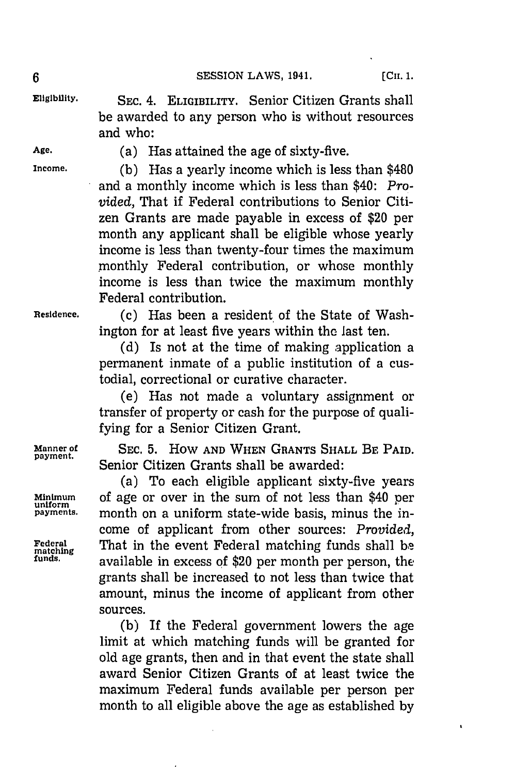$\mathbf{r}$ 

**Eligibility. SEC.** 4. **ELIGIBILITY.** Senior Citizen Grants shall be awarded to any person who is without resources and who:

**Age.** (a) Has attained the age of sixty-five.

**Income. (b)** Has a yearly income which is less than \$480 and a monthly income which is less than \$40: Pro*vided,* That if Federal contributions to Senior Citizen Grants are made payable in excess of \$20 per month any applicant shall be eligible whose yearly income is less than twenty-four times the maximum monthly Federal contribution, or whose monthly income is less than twice the maximum monthly Federal contribution.

Residence. **(c)** Has been a resident of the State of Washington for at least five years within the last ten.

> **(d)** Is not at the time of making application a permanent inmate of a public institution of a custodial, correctional or curative character.

> (e) Has not made a voluntary assignment or transfer of property or cash for the purpose of qualifying for a Senior Citizen Grant.

**Manner of SEC. 5.** HOW **AND WHEN GRANTS SHALL BE PAID.** Senior Citizen Grants shall be awarded:

(a) To each eligible applicant sixty-five years **Minimum** of age or over in the sum of not less than \$40 per **uniform** month on a uniform state-wide basis, minus the income of applicant from other sources: *Provided,* **Federal** That in the event Federal matching funds shall **be matching funds,** available in excess **of** \$20 per month per person, the grants shall be increased to not less than twice that amount, minus the income of applicant from other sources.

> **(b)** If the Federal government lowers the age limit at which matching funds will be granted for old age grants, then and in that event the state shall award Senior Citizen Grants of at least twice the maximum Federal funds available per person per month to all eligible above the age as established **by**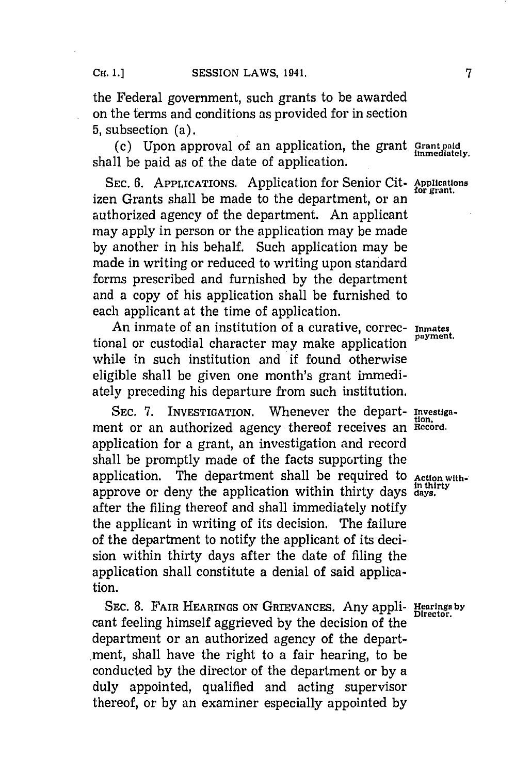the Federal government, such grants to be awarded on the terms and conditions as provided for in section **5,** subsection (a).

(c) Upon approval of an application, the grant **Grant paid** shall be paid as of the date of application.

**SEC. 6. APPLICATIONS.** Application for Senior Cit- **Applications** izen Grants shall be made to the department, or an authorized agency of the department. An applicant may apply in person or the application may be made **by** another in his behalf. Such application may be made in writing or reduced to writing upon standard forms prescribed and furnished **by** the department and a copy of his application shall be furnished to each applicant at the time of application.

An inmate of an institution of a curative, correc- **Inmates** tional or custodial character may make application while in such institution and if found otherwise eligible shall be given one month's grant immediately preceding his departure from such institution.

**SEC. 7. INVESTIGATION.** Whenever the depart- **Investiga**ment or an authorized agency thereof receives an Record. application for a grant, an investigation and record shall be promptly made of the facts supporting the application. The department shall be required to Action withapprove or deny the application within thirty days  $\frac{\text{in this}}{\text{days}}$ . after the filing thereof and shall immediately notify the applicant in writing of its decision. The failure of the department to notify the applicant of its decision within thirty days after the date of filing the application shall constitute a denial of said application.

SEC. 8. FAIR HEARINGS ON GRIEVANCES. Any appli- Hearings by cant feeling himself aggrieved **by** the decision of the department or an authorized agency of the department, shall have the right to a fair hearing, to be conducted **by** the director of the department or **by** a duly appointed, qualified and acting supervisor thereof, or **by** an examiner especially appointed **by**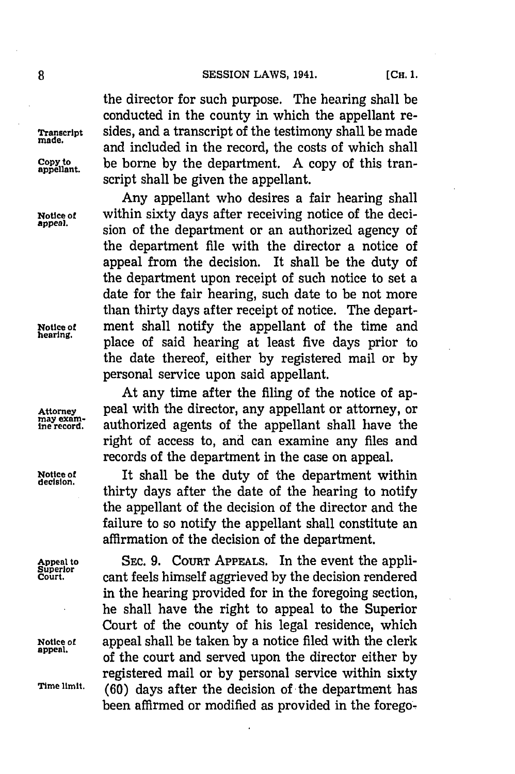the director for such purpose. The hearing shall be conducted in the county in which the appellant re-**Traniscript** sides, and a transcript of the testimony shall be made and included in the record, the costs of which shall **COPY to** be borne **by** the department. **A** copy of this transcript shall be given the appellant.

Any appellant who desires a fair hearing shall **Notice of** within sixty days after receiving notice of the decision of the department or an authorized agency of the department file with the director a notice of appeal from the decision. It shall be the duty of the department upon receipt of such notice to set a date for the fair hearing, such date to be not more than thirty days after receipt of notice. The depart-**Notice of** ment shall notify the appellant of the time and **hearing,** place of said hearing at least five days prior to the date thereof, either **by** registered mail or **by** personal service upon said appellant.

At any time after the filing of the notice of ap-Attorney **peal with the director, any appellant or attorney, or** may example record. authorized agents of the appellant shall have the authorized agents of the appellant shall have the right of access to, and can examine any files and records of the department in the case on appeal.

**Notice of** It shall be the duty of the department within **decision.** thirty days after the date of the hearing to notify the appellant of the decision of the director and the failure to so notify the appellant shall constitute an affirmation of the decision of the department.

**Appeal to** SEc. **9.** COURT **APPEALs.** In the event the appli-**Court.** cant feels himself aggrieved **by** the decision rendered in the hearing provided for in the foregoing section, he shall have the right to appeal to the Superior Court of the county of his legal residence, which **Notice of** appeal shall be taken **by** a notice filed with the clerk **appeal.** of the court and served upon the director either **by** registered mail or **by** personal service within sixty Time limit. (60) days after the decision of the department has been affirmed or modified as provided in the forego-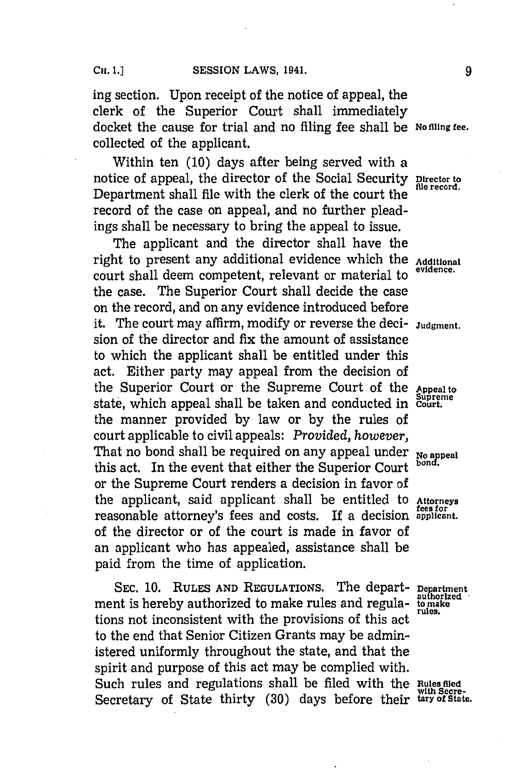ing section. Upon receipt of the notice of appeal, the clerk of the Superior Court shall immediately docket the cause for trial and no filing fee shall be **No Miing fee.** collected of the applicant.

Within ten **(10)** days after being served with a notice of appeal, the director of the Social Security **Director** to flue record. Department shall file with the clerk of the court the record of the case on appeal, and no further pleadings shall be necessary to bring the appeal to issue.

The applicant and the director shall have the right to present any additional evidence which the **Additional** court shall deem competent, relevant or material to the case. The Superior Court shall decide the case on the record, and on any evidence introduced before it. The court may affirm, modify or reverse the deci- **Judgment.** sion of the director and fix the amount of assistance to which the applicant shall be entitled under this act. Either party may appeal from the decision of the Superior Court or the Supreme Court of the **Appeal to** state, which appeal shall be taken and conducted in Court. the manner provided **by** law or **by** the rules of court applicable to civil appeals: *Provided, however,* That no bond shall be required on any appeal under *No* **apa** this act. In the event that either the Superior Court or the Supreme Court renders a decision in favor of the applicant, said applicant shall be entitled to **Attorneys** reasonable attorney's fees and costs. If a decision **applicant.** of the director or of the court is made in favor of an applicant who has appealed, assistance shall be paid from the time of application.

SEC. 10. RULES AND REGULATIONS. The depart- **Department** is hereby authorized to make rules and regula- to make ment is hereby authorized to make rules and regulations not inconsistent with the provisions of this act to the end that Senior Citizen Grants may be administered uniformly throughout the state, and that the spirit and purpose of this act may be complied with. Such rules and regulations shall be filed with the Rules filed Secretary of State thirty (30) days before their tary of State.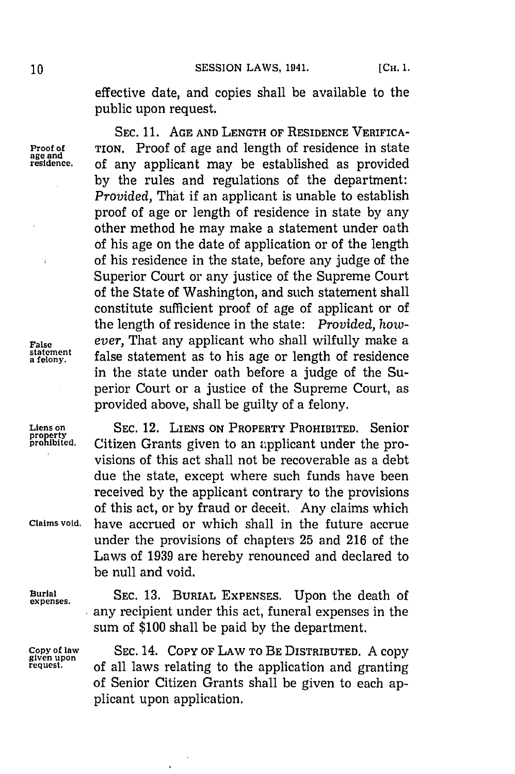**10 SESSION LAWS, 1941.** [Сн. 1.

effective date, and copies shall be available to the public upon request.

of any applicant may be established as provided **by** the rules and regulations of the department: *Provided,* That if an applicant is unable to establish proof of age or length of residence in state **by** any other method he may make a statement under oath of his age on the date of application or of the length of his residence in the state, before any judge of the Superior Court or any justice of the Supreme Court of the State of Washington, and such statement shall constitute sufficient proof of age of applicant or of the length of residence in the state: *Provided, how-*

SEC. 11. AGE AND LENGTH OF RESIDENCE VERIFICA-

**Proof of TION.** Proof of age and length of residence in state age and residence. Of any applicant may be established as provided

**False** *ever*, That any applicant who shall wilfully make a statement as to his age or length of residence a felony.

**expenses.**

Liens on **SEC.** 12. **LIENS ON PROPERTY PROHIBITED.** Senior Citizen Grants given to an applicant under the provisions of this act shall not be recoverable as a debt due the state, except where such funds have been received **by** the applicant contrary to the provisions of this act, or **by** fraud or deceit. Any claims which **Claims void,** have accrued or which shall in the future accrue under the provisions of chapters **25** and **216** of the Laws of **1939** are hereby renounced and declared to be null and void.

false statement as to his age or length of residence in the state under oath before a judge of the Superior Court or a justice of the Supreme Court, as

provided above, shall be guilty of a felony.

**Burial SEC. 13. BURIAL EXPENSES.** Upon the death of any recipient under this act, funeral expenses in the sum of **\$100** shall be paid **by** the department.

**Copy of law SEC.** 14. COPY **OF LAW To BE DISTRIBUTED. A** copy **request.** of all laws relating to the application and granting of Senior Citizen Grants shall be given to each applicant upon application.

 $\bullet$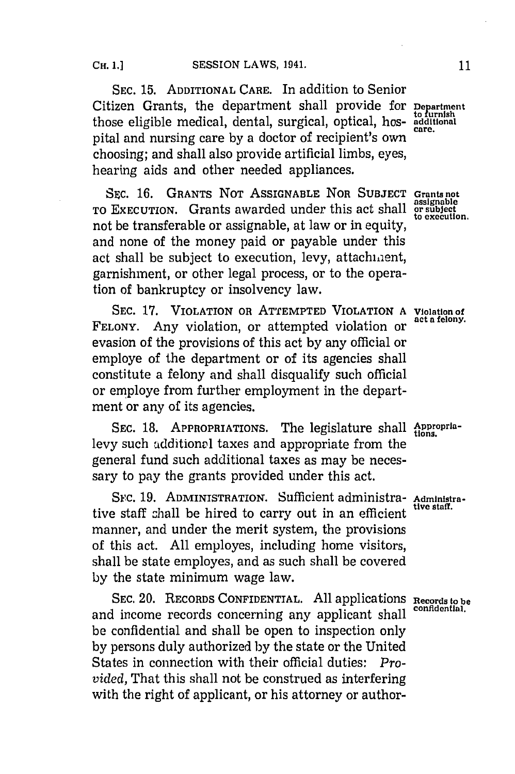**SEC. 15. ADDITIONAL CARE.** In addition to Senior Citizen Grants, the department shall provide for **Department** those eligible medical, dental, surgical, optical, hos- **additional** pital and nursing care by a doctor of recipient's own choosing; and shall also provide artificial limbs, eyes, hearing aids and other needed appliances.

SEC. 16. GRANTS NOT ASSIGNABLE NOR SUBJECT Grants not **assignable To EXECUTION.** Grants awarded under this act shall **or subject** not be transferable or assignable, at law or in equity, and none of the money paid or payable under this act shall be subject to execution, levy, attachment, garnishment, or other legal process, or to the operation of bankruptcy or insolvency law.

SEC. 17. VIOLATION OR ATTEMPTED VIOLATION A Violation of FELONY. Any violation, or attempted violation or evasion of the provisions of this act **by** any official or employe of the department or of its agencies shall constitute a felony and shall disqualify such official or employe from further employment in the department or any of its agencies.

SEC. 18. APPROPRIATIONS. The legislature shall Approprialevy such additional taxes and appropriate from the general fund such additional taxes as may be necessary to pay the grants provided under this act.

Src. **19. ADMINISTRATION.** Sufficient administra- **Administra**tive staff shall be hired to carry out in an efficient manner, and under the merit system, the provisions of this act. **All** employes, including home visitors, shall be state employes, and as such shall be covered **by** the state minimum wage law.

**SEC.** 20. **RECORDS CONFIDENTIAL. All** applications **Records to be** and income records concerning any applicant shall be confidential and shall be open to inspection only **by** persons duly authorized **by** the state or the United States in connection with their official duties: *Provided,* That this shall not be construed as interfering with the right of applicant, or his attorney or author-